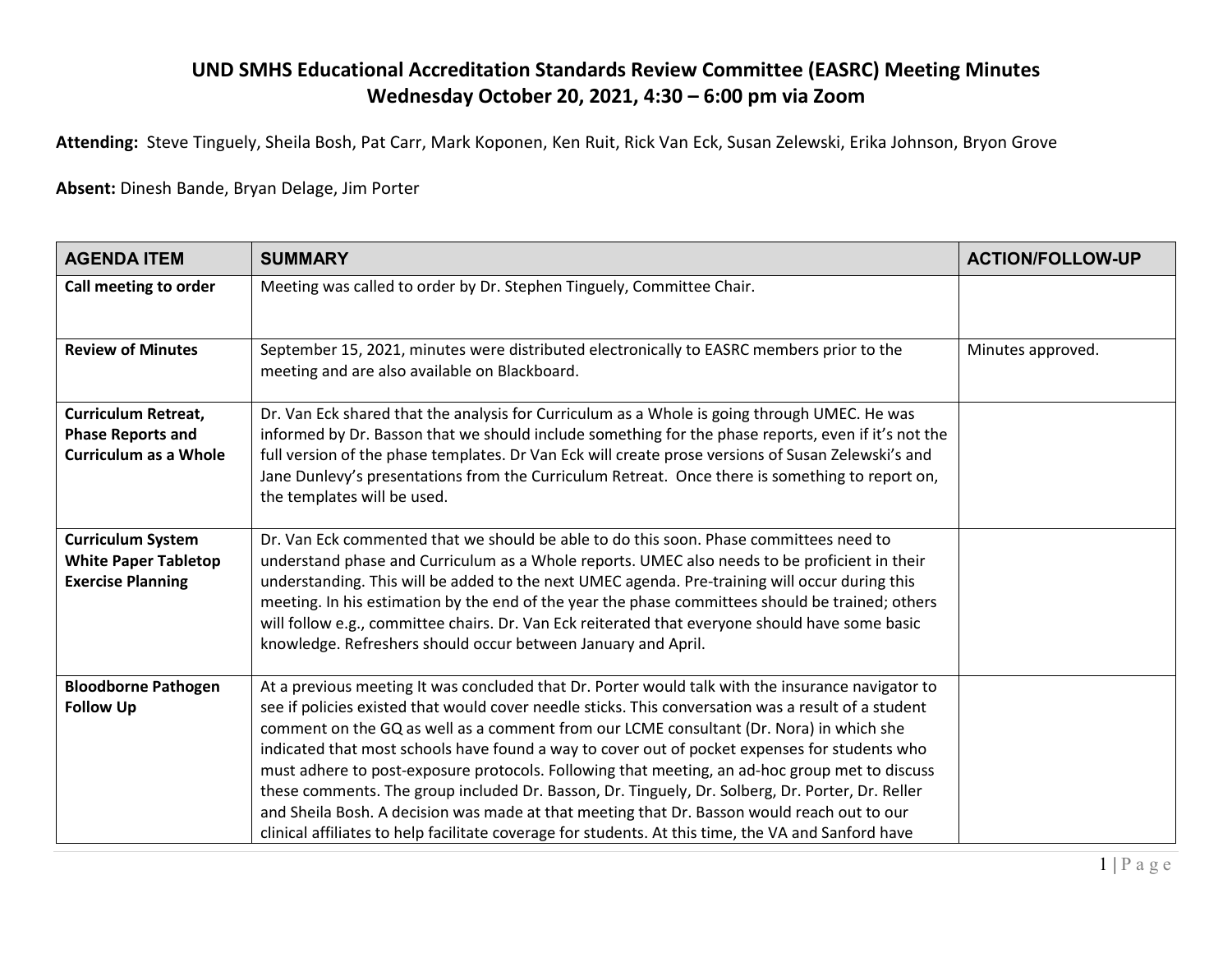## **UND SMHS Educational Accreditation Standards Review Committee (EASRC) Meeting Minutes Wednesday October 20, 2021, 4:30 – 6:00 pm via Zoom**

**Attending:** Steve Tinguely, Sheila Bosh, Pat Carr, Mark Koponen, Ken Ruit, Rick Van Eck, Susan Zelewski, Erika Johnson, Bryon Grove

**Absent:** Dinesh Bande, Bryan Delage, Jim Porter

| <b>AGENDA ITEM</b>                                                                     | <b>SUMMARY</b>                                                                                                                                                                                                                                                                                                                                                                                                                                                                                                                                                                                                                                                                                                                                                                                                   | <b>ACTION/FOLLOW-UP</b> |
|----------------------------------------------------------------------------------------|------------------------------------------------------------------------------------------------------------------------------------------------------------------------------------------------------------------------------------------------------------------------------------------------------------------------------------------------------------------------------------------------------------------------------------------------------------------------------------------------------------------------------------------------------------------------------------------------------------------------------------------------------------------------------------------------------------------------------------------------------------------------------------------------------------------|-------------------------|
| Call meeting to order                                                                  | Meeting was called to order by Dr. Stephen Tinguely, Committee Chair.                                                                                                                                                                                                                                                                                                                                                                                                                                                                                                                                                                                                                                                                                                                                            |                         |
| <b>Review of Minutes</b>                                                               | September 15, 2021, minutes were distributed electronically to EASRC members prior to the<br>meeting and are also available on Blackboard.                                                                                                                                                                                                                                                                                                                                                                                                                                                                                                                                                                                                                                                                       | Minutes approved.       |
| <b>Curriculum Retreat,</b><br><b>Phase Reports and</b><br><b>Curriculum as a Whole</b> | Dr. Van Eck shared that the analysis for Curriculum as a Whole is going through UMEC. He was<br>informed by Dr. Basson that we should include something for the phase reports, even if it's not the<br>full version of the phase templates. Dr Van Eck will create prose versions of Susan Zelewski's and<br>Jane Dunlevy's presentations from the Curriculum Retreat. Once there is something to report on,<br>the templates will be used.                                                                                                                                                                                                                                                                                                                                                                      |                         |
| <b>Curriculum System</b><br><b>White Paper Tabletop</b><br><b>Exercise Planning</b>    | Dr. Van Eck commented that we should be able to do this soon. Phase committees need to<br>understand phase and Curriculum as a Whole reports. UMEC also needs to be proficient in their<br>understanding. This will be added to the next UMEC agenda. Pre-training will occur during this<br>meeting. In his estimation by the end of the year the phase committees should be trained; others<br>will follow e.g., committee chairs. Dr. Van Eck reiterated that everyone should have some basic<br>knowledge. Refreshers should occur between January and April.                                                                                                                                                                                                                                                |                         |
| <b>Bloodborne Pathogen</b><br><b>Follow Up</b>                                         | At a previous meeting It was concluded that Dr. Porter would talk with the insurance navigator to<br>see if policies existed that would cover needle sticks. This conversation was a result of a student<br>comment on the GQ as well as a comment from our LCME consultant (Dr. Nora) in which she<br>indicated that most schools have found a way to cover out of pocket expenses for students who<br>must adhere to post-exposure protocols. Following that meeting, an ad-hoc group met to discuss<br>these comments. The group included Dr. Basson, Dr. Tinguely, Dr. Solberg, Dr. Porter, Dr. Reller<br>and Sheila Bosh. A decision was made at that meeting that Dr. Basson would reach out to our<br>clinical affiliates to help facilitate coverage for students. At this time, the VA and Sanford have |                         |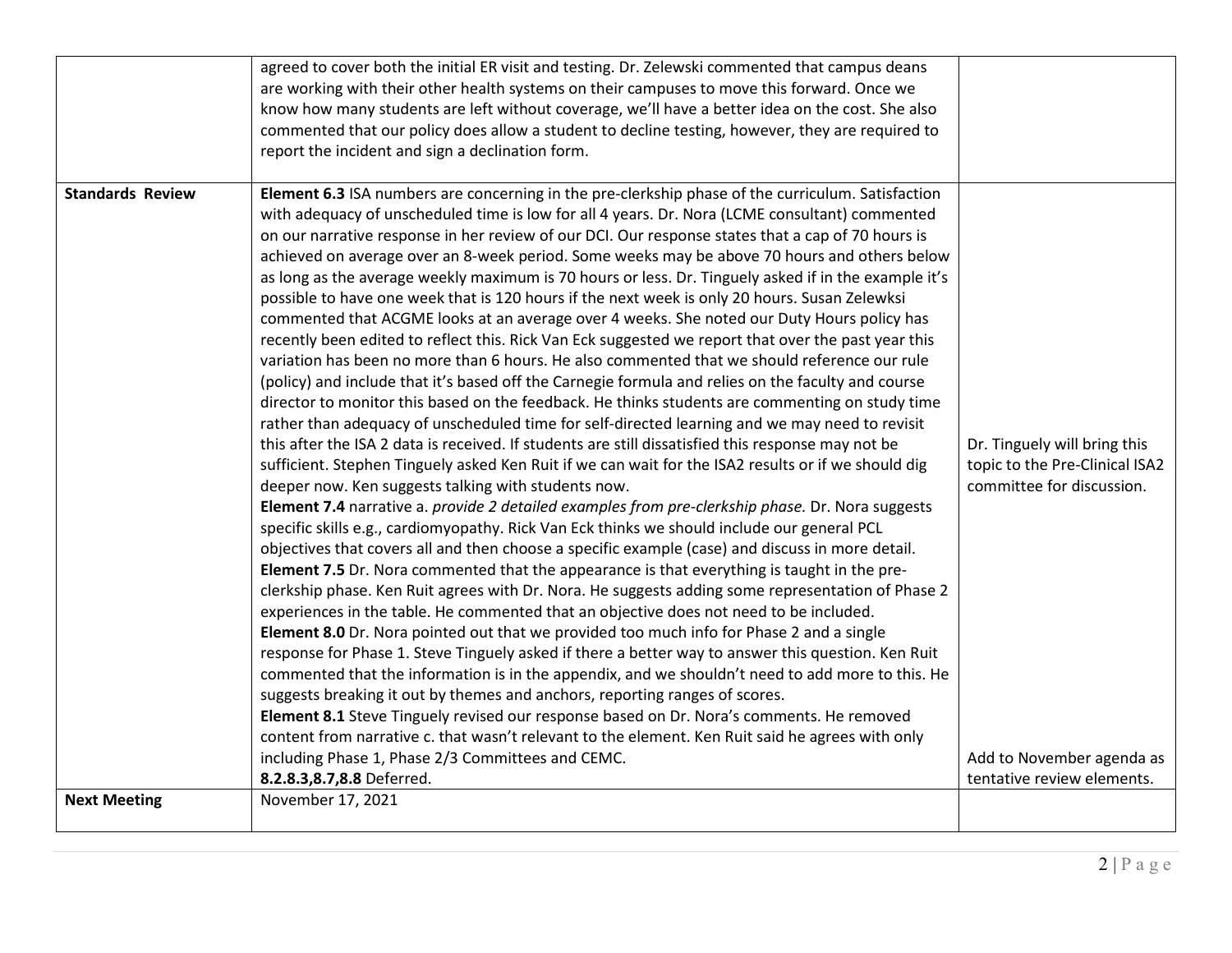| are working with their other health systems on their campuses to move this forward. Once we<br>know how many students are left without coverage, we'll have a better idea on the cost. She also<br>commented that our policy does allow a student to decline testing, however, they are required to<br>report the incident and sign a declination form.<br><b>Standards Review</b><br>Element 6.3 ISA numbers are concerning in the pre-clerkship phase of the curriculum. Satisfaction<br>with adequacy of unscheduled time is low for all 4 years. Dr. Nora (LCME consultant) commented |                                |
|-------------------------------------------------------------------------------------------------------------------------------------------------------------------------------------------------------------------------------------------------------------------------------------------------------------------------------------------------------------------------------------------------------------------------------------------------------------------------------------------------------------------------------------------------------------------------------------------|--------------------------------|
|                                                                                                                                                                                                                                                                                                                                                                                                                                                                                                                                                                                           |                                |
|                                                                                                                                                                                                                                                                                                                                                                                                                                                                                                                                                                                           |                                |
|                                                                                                                                                                                                                                                                                                                                                                                                                                                                                                                                                                                           |                                |
|                                                                                                                                                                                                                                                                                                                                                                                                                                                                                                                                                                                           |                                |
|                                                                                                                                                                                                                                                                                                                                                                                                                                                                                                                                                                                           |                                |
|                                                                                                                                                                                                                                                                                                                                                                                                                                                                                                                                                                                           |                                |
| on our narrative response in her review of our DCI. Our response states that a cap of 70 hours is                                                                                                                                                                                                                                                                                                                                                                                                                                                                                         |                                |
| achieved on average over an 8-week period. Some weeks may be above 70 hours and others below                                                                                                                                                                                                                                                                                                                                                                                                                                                                                              |                                |
| as long as the average weekly maximum is 70 hours or less. Dr. Tinguely asked if in the example it's                                                                                                                                                                                                                                                                                                                                                                                                                                                                                      |                                |
| possible to have one week that is 120 hours if the next week is only 20 hours. Susan Zelewksi                                                                                                                                                                                                                                                                                                                                                                                                                                                                                             |                                |
| commented that ACGME looks at an average over 4 weeks. She noted our Duty Hours policy has                                                                                                                                                                                                                                                                                                                                                                                                                                                                                                |                                |
| recently been edited to reflect this. Rick Van Eck suggested we report that over the past year this<br>variation has been no more than 6 hours. He also commented that we should reference our rule                                                                                                                                                                                                                                                                                                                                                                                       |                                |
| (policy) and include that it's based off the Carnegie formula and relies on the faculty and course                                                                                                                                                                                                                                                                                                                                                                                                                                                                                        |                                |
| director to monitor this based on the feedback. He thinks students are commenting on study time                                                                                                                                                                                                                                                                                                                                                                                                                                                                                           |                                |
| rather than adequacy of unscheduled time for self-directed learning and we may need to revisit                                                                                                                                                                                                                                                                                                                                                                                                                                                                                            |                                |
| this after the ISA 2 data is received. If students are still dissatisfied this response may not be                                                                                                                                                                                                                                                                                                                                                                                                                                                                                        | Dr. Tinguely will bring this   |
| sufficient. Stephen Tinguely asked Ken Ruit if we can wait for the ISA2 results or if we should dig                                                                                                                                                                                                                                                                                                                                                                                                                                                                                       | topic to the Pre-Clinical ISA2 |
| deeper now. Ken suggests talking with students now.                                                                                                                                                                                                                                                                                                                                                                                                                                                                                                                                       | committee for discussion.      |
| Element 7.4 narrative a. provide 2 detailed examples from pre-clerkship phase. Dr. Nora suggests                                                                                                                                                                                                                                                                                                                                                                                                                                                                                          |                                |
| specific skills e.g., cardiomyopathy. Rick Van Eck thinks we should include our general PCL                                                                                                                                                                                                                                                                                                                                                                                                                                                                                               |                                |
| objectives that covers all and then choose a specific example (case) and discuss in more detail.                                                                                                                                                                                                                                                                                                                                                                                                                                                                                          |                                |
| Element 7.5 Dr. Nora commented that the appearance is that everything is taught in the pre-                                                                                                                                                                                                                                                                                                                                                                                                                                                                                               |                                |
| clerkship phase. Ken Ruit agrees with Dr. Nora. He suggests adding some representation of Phase 2                                                                                                                                                                                                                                                                                                                                                                                                                                                                                         |                                |
| experiences in the table. He commented that an objective does not need to be included.                                                                                                                                                                                                                                                                                                                                                                                                                                                                                                    |                                |
| Element 8.0 Dr. Nora pointed out that we provided too much info for Phase 2 and a single                                                                                                                                                                                                                                                                                                                                                                                                                                                                                                  |                                |
| response for Phase 1. Steve Tinguely asked if there a better way to answer this question. Ken Ruit                                                                                                                                                                                                                                                                                                                                                                                                                                                                                        |                                |
| commented that the information is in the appendix, and we shouldn't need to add more to this. He                                                                                                                                                                                                                                                                                                                                                                                                                                                                                          |                                |
| suggests breaking it out by themes and anchors, reporting ranges of scores.                                                                                                                                                                                                                                                                                                                                                                                                                                                                                                               |                                |
| Element 8.1 Steve Tinguely revised our response based on Dr. Nora's comments. He removed                                                                                                                                                                                                                                                                                                                                                                                                                                                                                                  |                                |
| content from narrative c. that wasn't relevant to the element. Ken Ruit said he agrees with only                                                                                                                                                                                                                                                                                                                                                                                                                                                                                          |                                |
| including Phase 1, Phase 2/3 Committees and CEMC.                                                                                                                                                                                                                                                                                                                                                                                                                                                                                                                                         | Add to November agenda as      |
| 8.2.8.3, 8.7, 8.8 Deferred.                                                                                                                                                                                                                                                                                                                                                                                                                                                                                                                                                               | tentative review elements.     |
| <b>Next Meeting</b><br>November 17, 2021                                                                                                                                                                                                                                                                                                                                                                                                                                                                                                                                                  |                                |